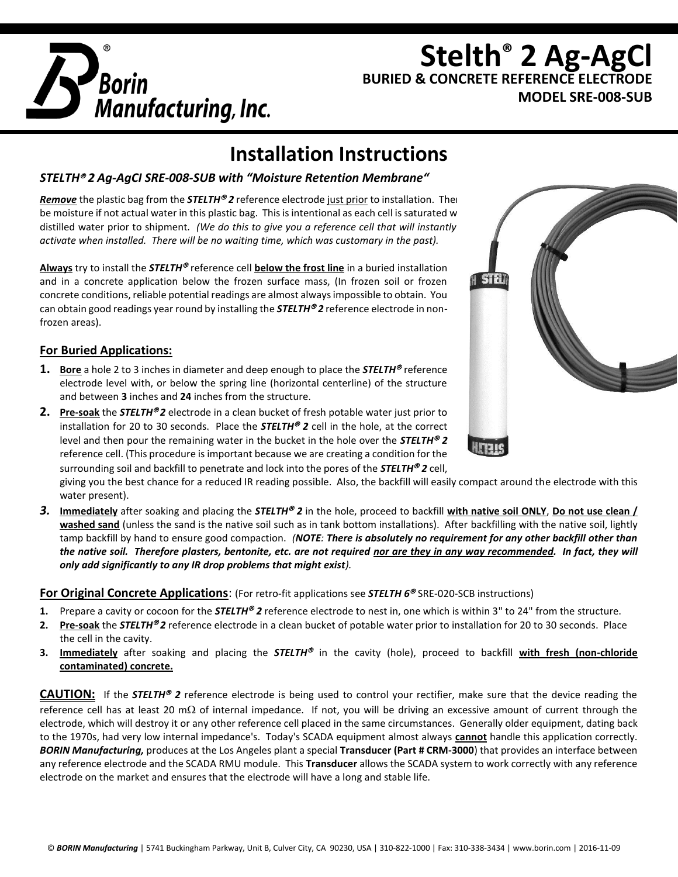

## **Stelth® 2 Ag-AgCl BURIED & CONCRETE REFERENCE ELECTRODE MODEL SRE-008-SUB**

# **Installation Instructions**

#### *STELTH 2 Ag-AgCI SRE-008-SUB with "Moisture Retention Membrane"*

*Remove* the plastic bag from the *STELTH®* 2 reference electrode just prior to installation. There be moisture if not actual water in this plastic bag. This is intentional as each cell is saturated w distilled water prior to shipment*. (We do this to give you a reference cell that will instantly activate when installed. There will be no waiting time, which was customary in the past).*

Always try to install the **STELTH<sup>®</sup>** reference cell **below the frost line** in a buried installation and in a concrete application below the frozen surface mass, (In frozen soil or frozen concrete conditions, reliable potential readings are almost always impossible to obtain. You can obtain good readings year round by installing the *STELTH 2* reference electrode in nonfrozen areas).

#### **For Buried Applications:**

- **1. Bore** a hole 2 to 3 inches in diameter and deep enough to place the **STELTH**<sup>®</sup> reference electrode level with, or below the spring line (horizontal centerline) of the structure and between **3** inches and **24** inches from the structure.
- **2.** Pre-soak the *STELTH®2* electrode in a clean bucket of fresh potable water just prior to installation for 20 to 30 seconds. Place the *STELTH 2* cell in the hole, at the correct level and then pour the remaining water in the bucket in the hole over the **STELTH<sup>®</sup>2** reference cell. (This procedure is important because we are creating a condition for the surrounding soil and backfill to penetrate and lock into the pores of the *STELTH 2* cell,

giving you the best chance for a reduced IR reading possible. Also, the backfill will easily compact around the electrode with this water present).

*3.* **Immediately** after soaking and placing the *STELTH 2* in the hole, proceed to backfill **with native soil ONLY**, **Do not use clean / washed sand** (unless the sand is the native soil such as in tank bottom installations). After backfilling with the native soil, lightly tamp backfill by hand to ensure good compaction. *(NOTE: There is absolutely no requirement for any other backfill other than the native soil. Therefore plasters, bentonite, etc. are not required nor are they in any way recommended. In fact, they will only add significantly to any IR drop problems that might exist).*

#### **For Original Concrete Applications**: (For retro-fit applications see *STELTH 6* SRE-020-SCB instructions)

- **1.** Prepare a cavity or cocoon for the **STELTH<sup>®</sup>** 2 reference electrode to nest in, one which is within 3" to 24" from the structure.
- **2.** Pre-soak the *STELTH®2* reference electrode in a clean bucket of potable water prior to installation for 20 to 30 seconds. Place the cell in the cavity.
- 3. Immediately after soaking and placing the **STELTH<sup>®</sup>** in the cavity (hole), proceed to backfill with fresh (non-chloride **contaminated) concrete.**

**CAUTION:** If the **STELTH<sup>®</sup> 2** reference electrode is being used to control your rectifier, make sure that the device reading the reference cell has at least 20 m $\Omega$  of internal impedance. If not, you will be driving an excessive amount of current through the electrode, which will destroy it or any other reference cell placed in the same circumstances. Generally older equipment, dating back to the 1970s, had very low internal impedance's. Today's SCADA equipment almost always **cannot** handle this application correctly. *BORIN Manufacturing,* produces at the Los Angeles plant a special **Transducer (Part # CRM-3000**) that provides an interface between any reference electrode and the SCADA RMU module. This **Transducer** allows the SCADA system to work correctly with any reference electrode on the market and ensures that the electrode will have a long and stable life.